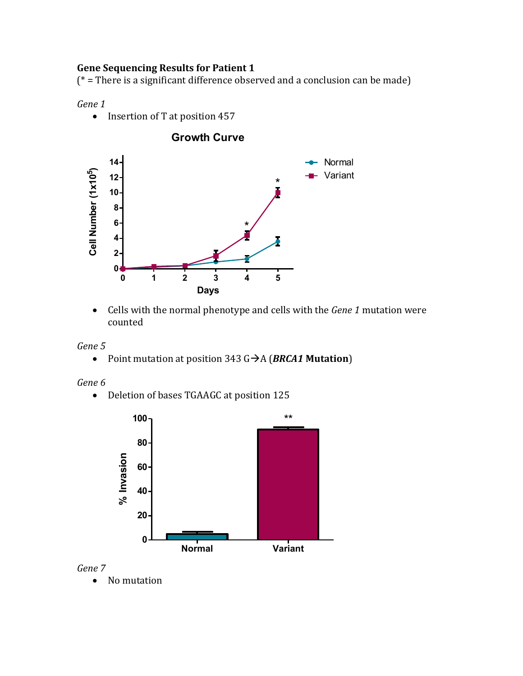# **Gene Sequencing Results for Patient 1**

 $(*)$  = There is a significant difference observed and a conclusion can be made)

*Gene 1*

• Insertion of T at position 457



• Cells with the normal phenotype and cells with the *Gene 1* mutation were counted 



• Point mutation at position  $343 \text{ G} \rightarrow A$  (*BRCA1* Mutation)

*Gene 6*

• Deletion of bases TGAAGC at position 125





• No mutation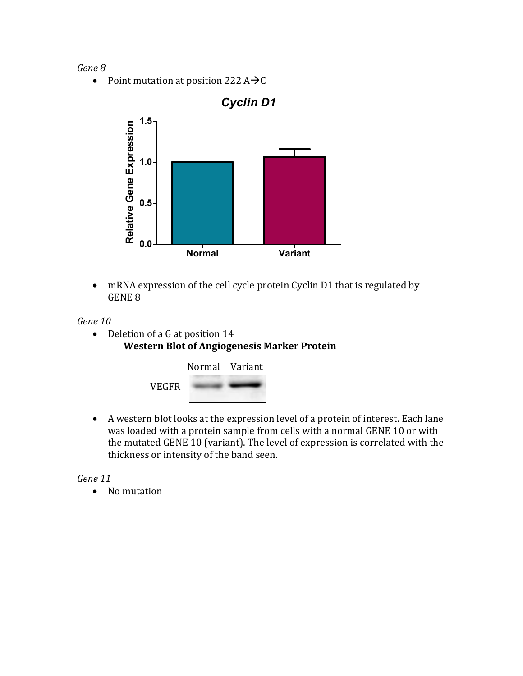#### *Gene 8*

• Point mutation at position 222  $A\rightarrow C$ 



• mRNA expression of the cell cycle protein Cyclin D1 that is regulated by GENE 8

*Gene 10*

• Deletion of a G at position  $14$ **Western Blot of Angiogenesis Marker Protein** 



• A western blot looks at the expression level of a protein of interest. Each lane was loaded with a protein sample from cells with a normal GENE 10 or with the mutated GENE 10 (variant). The level of expression is correlated with the thickness or intensity of the band seen.

*Gene 11*

• No mutation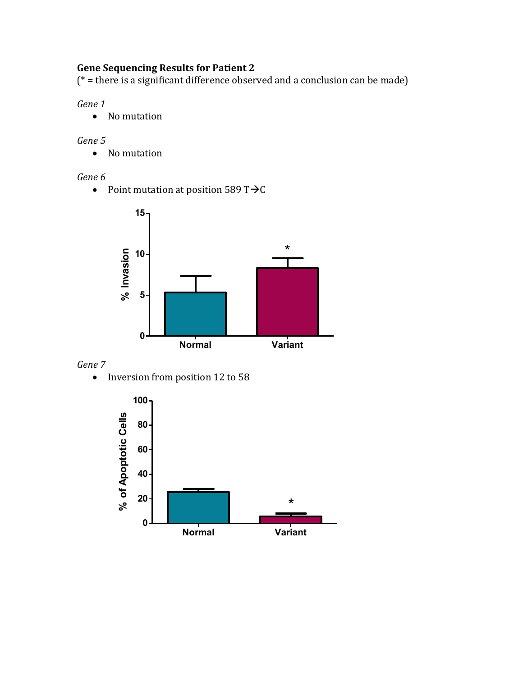# **Gene Sequencing Results for Patient 2**

 $(*)$  = there is a significant difference observed and a conclusion can be made)

# *Gene 1*

• No mutation

### *Gene 5*

• No mutation

### *Gene 6*

• Point mutation at position  $589 \text{ T} \rightarrow C$ 



### *Gene 7*